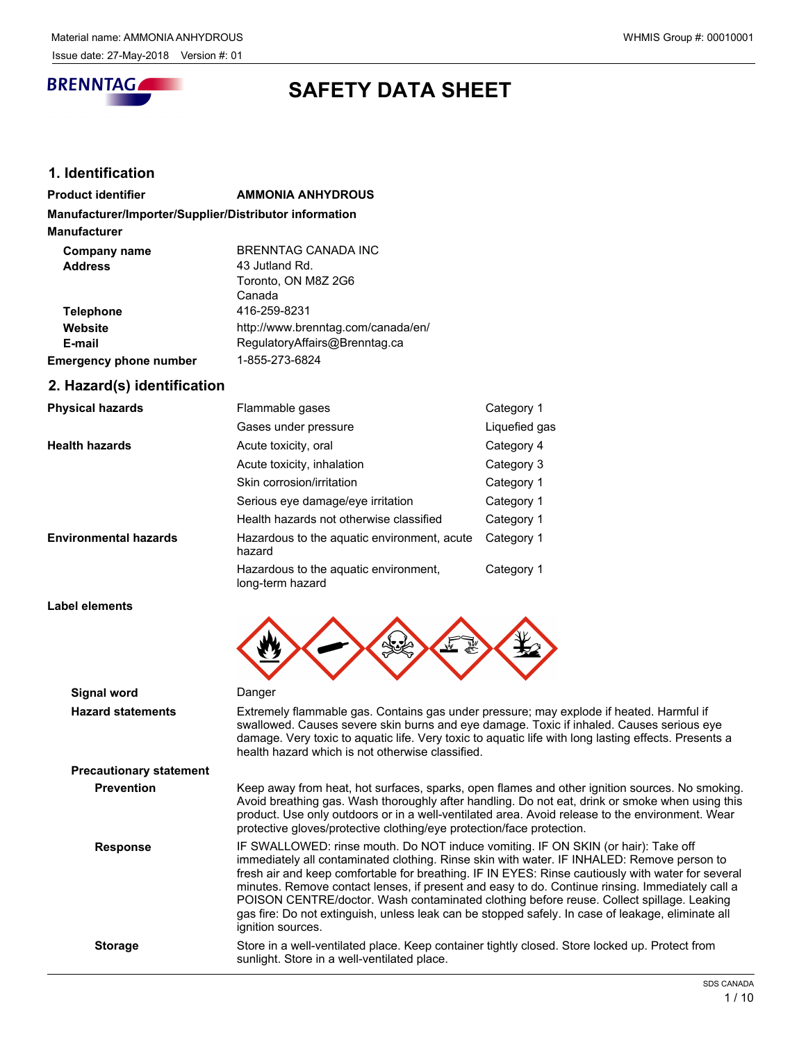

# **SAFETY DATA SHEET**

# **1. Identification**

| <b>AMMONIA ANHYDROUS</b>                               |
|--------------------------------------------------------|
| Manufacturer/Importer/Supplier/Distributor information |
|                                                        |
| BRENNTAG CANADA INC                                    |
| 43 Jutland Rd.                                         |
| Toronto, ON M8Z 2G6                                    |
| Canada                                                 |
| 416-259-8231                                           |
| http://www.brenntag.com/canada/en/                     |
| RegulatoryAffairs@Brenntag.ca                          |
| 1-855-273-6824                                         |
|                                                        |

# **2. Hazard(s) identification**

| <b>Physical hazards</b>      | Flammable gases                                           | Category 1    |
|------------------------------|-----------------------------------------------------------|---------------|
|                              | Gases under pressure                                      | Liquefied gas |
| <b>Health hazards</b>        | Acute toxicity, oral                                      | Category 4    |
|                              | Acute toxicity, inhalation                                | Category 3    |
|                              | Skin corrosion/irritation                                 | Category 1    |
|                              | Serious eye damage/eye irritation                         | Category 1    |
|                              | Health hazards not otherwise classified                   | Category 1    |
| <b>Environmental hazards</b> | Hazardous to the aguatic environment, acute<br>hazard     | Category 1    |
|                              | Hazardous to the aquatic environment,<br>long-term hazard | Category 1    |

#### **Label elements**

| Signal word                    | Danger                                                                                                                                                                                                                                                                                                                                                                                                                                                                                                                                                                                                        |
|--------------------------------|---------------------------------------------------------------------------------------------------------------------------------------------------------------------------------------------------------------------------------------------------------------------------------------------------------------------------------------------------------------------------------------------------------------------------------------------------------------------------------------------------------------------------------------------------------------------------------------------------------------|
| <b>Hazard statements</b>       | Extremely flammable gas. Contains gas under pressure; may explode if heated. Harmful if<br>swallowed. Causes severe skin burns and eye damage. Toxic if inhaled. Causes serious eye<br>damage. Very toxic to aquatic life. Very toxic to aquatic life with long lasting effects. Presents a<br>health hazard which is not otherwise classified.                                                                                                                                                                                                                                                               |
| <b>Precautionary statement</b> |                                                                                                                                                                                                                                                                                                                                                                                                                                                                                                                                                                                                               |
| <b>Prevention</b>              | Keep away from heat, hot surfaces, sparks, open flames and other ignition sources. No smoking.<br>Avoid breathing gas. Wash thoroughly after handling. Do not eat, drink or smoke when using this<br>product. Use only outdoors or in a well-ventilated area. Avoid release to the environment. Wear<br>protective gloves/protective clothing/eye protection/face protection.                                                                                                                                                                                                                                 |
| <b>Response</b>                | IF SWALLOWED: rinse mouth. Do NOT induce vomiting. IF ON SKIN (or hair): Take off<br>immediately all contaminated clothing. Rinse skin with water. IF INHALED: Remove person to<br>fresh air and keep comfortable for breathing. IF IN EYES: Rinse cautiously with water for several<br>minutes. Remove contact lenses, if present and easy to do. Continue rinsing. Immediately call a<br>POISON CENTRE/doctor. Wash contaminated clothing before reuse. Collect spillage. Leaking<br>gas fire: Do not extinguish, unless leak can be stopped safely. In case of leakage, eliminate all<br>ignition sources. |
| <b>Storage</b>                 | Store in a well-ventilated place. Keep container tightly closed. Store locked up. Protect from<br>sunlight. Store in a well-ventilated place.                                                                                                                                                                                                                                                                                                                                                                                                                                                                 |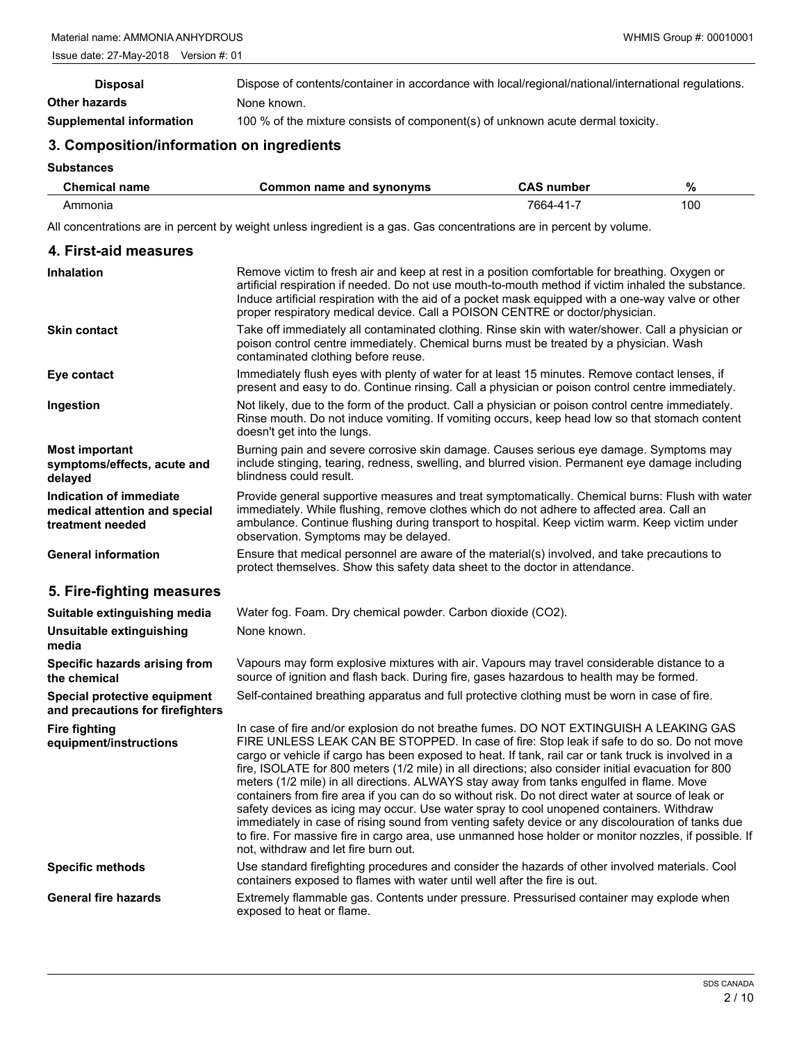| <b>Disposal</b>          | Dispose of contents/container in accordance with local/regional/national/international regulations. |
|--------------------------|-----------------------------------------------------------------------------------------------------|
| Other hazards            | None known.                                                                                         |
| Supplemental information | 100 % of the mixture consists of component(s) of unknown acute dermal toxicity.                     |

# **3. Composition/information on ingredients**

## **Substances**

| Chemical name   | Common name and synonyms | CAS<br>number                        | %   |
|-----------------|--------------------------|--------------------------------------|-----|
| Ammonia<br>____ |                          | 7664-<br>$\lambda$ <sup>4</sup><br>. | 100 |

All concentrations are in percent by weight unless ingredient is a gas. Gas concentrations are in percent by volume.

# **4. First-aid measures**

| <b>Inhalation</b>                                                            | Remove victim to fresh air and keep at rest in a position comfortable for breathing. Oxygen or<br>artificial respiration if needed. Do not use mouth-to-mouth method if victim inhaled the substance.<br>Induce artificial respiration with the aid of a pocket mask equipped with a one-way valve or other<br>proper respiratory medical device. Call a POISON CENTRE or doctor/physician.                                                                                                                                                                                                                                                                                                                                                                                                                                                                                                                                                           |
|------------------------------------------------------------------------------|-------------------------------------------------------------------------------------------------------------------------------------------------------------------------------------------------------------------------------------------------------------------------------------------------------------------------------------------------------------------------------------------------------------------------------------------------------------------------------------------------------------------------------------------------------------------------------------------------------------------------------------------------------------------------------------------------------------------------------------------------------------------------------------------------------------------------------------------------------------------------------------------------------------------------------------------------------|
| <b>Skin contact</b>                                                          | Take off immediately all contaminated clothing. Rinse skin with water/shower. Call a physician or<br>poison control centre immediately. Chemical burns must be treated by a physician. Wash<br>contaminated clothing before reuse.                                                                                                                                                                                                                                                                                                                                                                                                                                                                                                                                                                                                                                                                                                                    |
| Eye contact                                                                  | Immediately flush eyes with plenty of water for at least 15 minutes. Remove contact lenses, if<br>present and easy to do. Continue rinsing. Call a physician or poison control centre immediately.                                                                                                                                                                                                                                                                                                                                                                                                                                                                                                                                                                                                                                                                                                                                                    |
| Ingestion                                                                    | Not likely, due to the form of the product. Call a physician or poison control centre immediately.<br>Rinse mouth. Do not induce vomiting. If vomiting occurs, keep head low so that stomach content<br>doesn't get into the lungs.                                                                                                                                                                                                                                                                                                                                                                                                                                                                                                                                                                                                                                                                                                                   |
| Most important<br>symptoms/effects, acute and<br>delayed                     | Burning pain and severe corrosive skin damage. Causes serious eye damage. Symptoms may<br>include stinging, tearing, redness, swelling, and blurred vision. Permanent eye damage including<br>blindness could result.                                                                                                                                                                                                                                                                                                                                                                                                                                                                                                                                                                                                                                                                                                                                 |
| Indication of immediate<br>medical attention and special<br>treatment needed | Provide general supportive measures and treat symptomatically. Chemical burns: Flush with water<br>immediately. While flushing, remove clothes which do not adhere to affected area. Call an<br>ambulance. Continue flushing during transport to hospital. Keep victim warm. Keep victim under<br>observation. Symptoms may be delayed.                                                                                                                                                                                                                                                                                                                                                                                                                                                                                                                                                                                                               |
| <b>General information</b>                                                   | Ensure that medical personnel are aware of the material(s) involved, and take precautions to<br>protect themselves. Show this safety data sheet to the doctor in attendance.                                                                                                                                                                                                                                                                                                                                                                                                                                                                                                                                                                                                                                                                                                                                                                          |
| 5. Fire-fighting measures                                                    |                                                                                                                                                                                                                                                                                                                                                                                                                                                                                                                                                                                                                                                                                                                                                                                                                                                                                                                                                       |
| Suitable extinguishing media                                                 | Water fog. Foam. Dry chemical powder. Carbon dioxide (CO2).                                                                                                                                                                                                                                                                                                                                                                                                                                                                                                                                                                                                                                                                                                                                                                                                                                                                                           |
| Unsuitable extinguishing<br>media                                            | None known.                                                                                                                                                                                                                                                                                                                                                                                                                                                                                                                                                                                                                                                                                                                                                                                                                                                                                                                                           |
| Specific hazards arising from<br>the chemical                                | Vapours may form explosive mixtures with air. Vapours may travel considerable distance to a<br>source of ignition and flash back. During fire, gases hazardous to health may be formed.                                                                                                                                                                                                                                                                                                                                                                                                                                                                                                                                                                                                                                                                                                                                                               |
| Special protective equipment<br>and precautions for firefighters             | Self-contained breathing apparatus and full protective clothing must be worn in case of fire.                                                                                                                                                                                                                                                                                                                                                                                                                                                                                                                                                                                                                                                                                                                                                                                                                                                         |
| <b>Fire fighting</b><br>equipment/instructions                               | In case of fire and/or explosion do not breathe fumes. DO NOT EXTINGUISH A LEAKING GAS<br>FIRE UNLESS LEAK CAN BE STOPPED. In case of fire: Stop leak if safe to do so. Do not move<br>cargo or vehicle if cargo has been exposed to heat. If tank, rail car or tank truck is involved in a<br>fire, ISOLATE for 800 meters (1/2 mile) in all directions; also consider initial evacuation for 800<br>meters (1/2 mile) in all directions. ALWAYS stay away from tanks engulfed in flame. Move<br>containers from fire area if you can do so without risk. Do not direct water at source of leak or<br>safety devices as icing may occur. Use water spray to cool unopened containers. Withdraw<br>immediately in case of rising sound from venting safety device or any discolouration of tanks due<br>to fire. For massive fire in cargo area, use unmanned hose holder or monitor nozzles, if possible. If<br>not, withdraw and let fire burn out. |
| <b>Specific methods</b>                                                      | Use standard firefighting procedures and consider the hazards of other involved materials. Cool<br>containers exposed to flames with water until well after the fire is out.                                                                                                                                                                                                                                                                                                                                                                                                                                                                                                                                                                                                                                                                                                                                                                          |
| <b>General fire hazards</b>                                                  | Extremely flammable gas. Contents under pressure. Pressurised container may explode when<br>exposed to heat or flame.                                                                                                                                                                                                                                                                                                                                                                                                                                                                                                                                                                                                                                                                                                                                                                                                                                 |
|                                                                              |                                                                                                                                                                                                                                                                                                                                                                                                                                                                                                                                                                                                                                                                                                                                                                                                                                                                                                                                                       |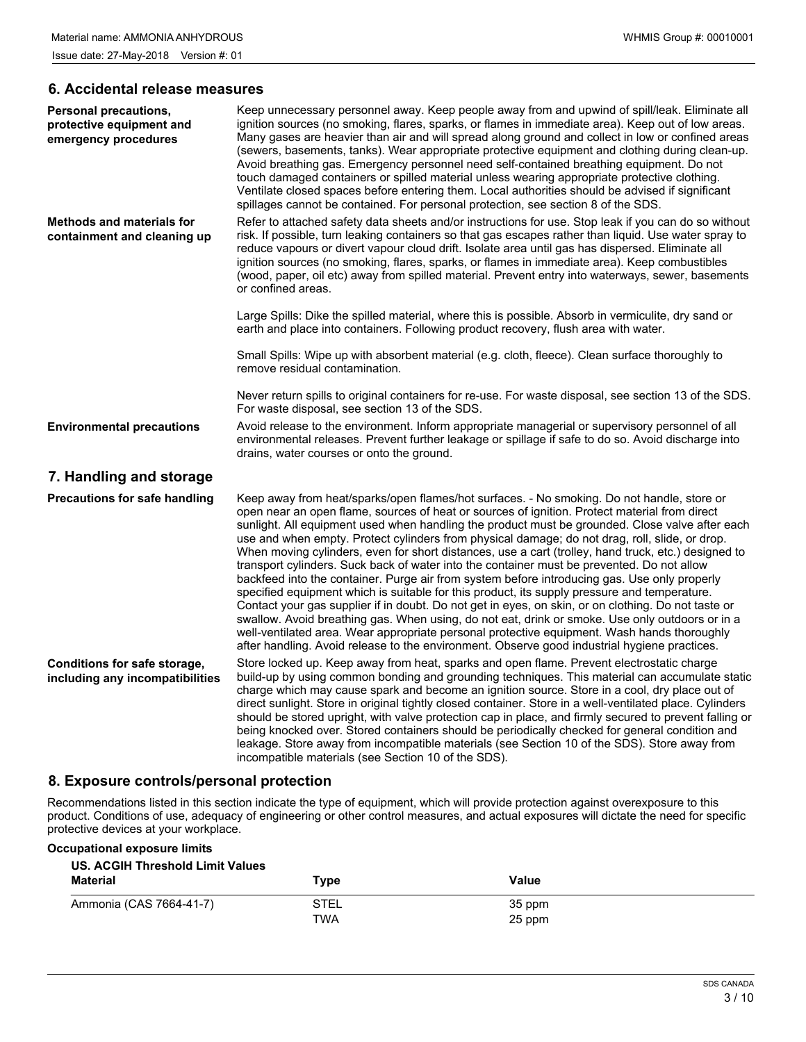#### **6. Accidental release measures**

| <b>Personal precautions,</b><br>protective equipment and<br>emergency procedures | Keep unnecessary personnel away. Keep people away from and upwind of spill/leak. Eliminate all<br>ignition sources (no smoking, flares, sparks, or flames in immediate area). Keep out of low areas.<br>Many gases are heavier than air and will spread along ground and collect in low or confined areas<br>(sewers, basements, tanks). Wear appropriate protective equipment and clothing during clean-up.<br>Avoid breathing gas. Emergency personnel need self-contained breathing equipment. Do not<br>touch damaged containers or spilled material unless wearing appropriate protective clothing.<br>Ventilate closed spaces before entering them. Local authorities should be advised if significant<br>spillages cannot be contained. For personal protection, see section 8 of the SDS.                                                                                                                                                                                                                                                                                                                                                                                                              |
|----------------------------------------------------------------------------------|----------------------------------------------------------------------------------------------------------------------------------------------------------------------------------------------------------------------------------------------------------------------------------------------------------------------------------------------------------------------------------------------------------------------------------------------------------------------------------------------------------------------------------------------------------------------------------------------------------------------------------------------------------------------------------------------------------------------------------------------------------------------------------------------------------------------------------------------------------------------------------------------------------------------------------------------------------------------------------------------------------------------------------------------------------------------------------------------------------------------------------------------------------------------------------------------------------------|
| <b>Methods and materials for</b><br>containment and cleaning up                  | Refer to attached safety data sheets and/or instructions for use. Stop leak if you can do so without<br>risk. If possible, turn leaking containers so that gas escapes rather than liquid. Use water spray to<br>reduce vapours or divert vapour cloud drift. Isolate area until gas has dispersed. Eliminate all<br>ignition sources (no smoking, flares, sparks, or flames in immediate area). Keep combustibles<br>(wood, paper, oil etc) away from spilled material. Prevent entry into waterways, sewer, basements<br>or confined areas.                                                                                                                                                                                                                                                                                                                                                                                                                                                                                                                                                                                                                                                                  |
|                                                                                  | Large Spills: Dike the spilled material, where this is possible. Absorb in vermiculite, dry sand or<br>earth and place into containers. Following product recovery, flush area with water.                                                                                                                                                                                                                                                                                                                                                                                                                                                                                                                                                                                                                                                                                                                                                                                                                                                                                                                                                                                                                     |
|                                                                                  | Small Spills: Wipe up with absorbent material (e.g. cloth, fleece). Clean surface thoroughly to<br>remove residual contamination.                                                                                                                                                                                                                                                                                                                                                                                                                                                                                                                                                                                                                                                                                                                                                                                                                                                                                                                                                                                                                                                                              |
|                                                                                  | Never return spills to original containers for re-use. For waste disposal, see section 13 of the SDS.<br>For waste disposal, see section 13 of the SDS.                                                                                                                                                                                                                                                                                                                                                                                                                                                                                                                                                                                                                                                                                                                                                                                                                                                                                                                                                                                                                                                        |
| <b>Environmental precautions</b>                                                 | Avoid release to the environment. Inform appropriate managerial or supervisory personnel of all<br>environmental releases. Prevent further leakage or spillage if safe to do so. Avoid discharge into<br>drains, water courses or onto the ground.                                                                                                                                                                                                                                                                                                                                                                                                                                                                                                                                                                                                                                                                                                                                                                                                                                                                                                                                                             |
| 7. Handling and storage                                                          |                                                                                                                                                                                                                                                                                                                                                                                                                                                                                                                                                                                                                                                                                                                                                                                                                                                                                                                                                                                                                                                                                                                                                                                                                |
| <b>Precautions for safe handling</b>                                             | Keep away from heat/sparks/open flames/hot surfaces. - No smoking. Do not handle, store or<br>open near an open flame, sources of heat or sources of ignition. Protect material from direct<br>sunlight. All equipment used when handling the product must be grounded. Close valve after each<br>use and when empty. Protect cylinders from physical damage; do not drag, roll, slide, or drop.<br>When moving cylinders, even for short distances, use a cart (trolley, hand truck, etc.) designed to<br>transport cylinders. Suck back of water into the container must be prevented. Do not allow<br>backfeed into the container. Purge air from system before introducing gas. Use only properly<br>specified equipment which is suitable for this product, its supply pressure and temperature.<br>Contact your gas supplier if in doubt. Do not get in eyes, on skin, or on clothing. Do not taste or<br>swallow. Avoid breathing gas. When using, do not eat, drink or smoke. Use only outdoors or in a<br>well-ventilated area. Wear appropriate personal protective equipment. Wash hands thoroughly<br>after handling. Avoid release to the environment. Observe good industrial hygiene practices. |
| Conditions for safe storage,<br>including any incompatibilities                  | Store locked up. Keep away from heat, sparks and open flame. Prevent electrostatic charge<br>build-up by using common bonding and grounding techniques. This material can accumulate static<br>charge which may cause spark and become an ignition source. Store in a cool, dry place out of<br>direct sunlight. Store in original tightly closed container. Store in a well-ventilated place. Cylinders<br>should be stored upright, with valve protection cap in place, and firmly secured to prevent falling or<br>being knocked over. Stored containers should be periodically checked for general condition and<br>leakage. Store away from incompatible materials (see Section 10 of the SDS). Store away from<br>incompatible materials (see Section 10 of the SDS).                                                                                                                                                                                                                                                                                                                                                                                                                                    |

# **8. Exposure controls/personal protection**

Recommendations listed in this section indicate the type of equipment, which will provide protection against overexposure to this product. Conditions of use, adequacy of engineering or other control measures, and actual exposures will dictate the need for specific protective devices at your workplace.

#### **Occupational exposure limits**

| <b>US. ACGIH Threshold Limit Values</b><br><b>Material</b> | Type        | Value  |
|------------------------------------------------------------|-------------|--------|
| Ammonia (CAS 7664-41-7)                                    | <b>STEL</b> | 35 ppm |
|                                                            | TWA         | 25 ppm |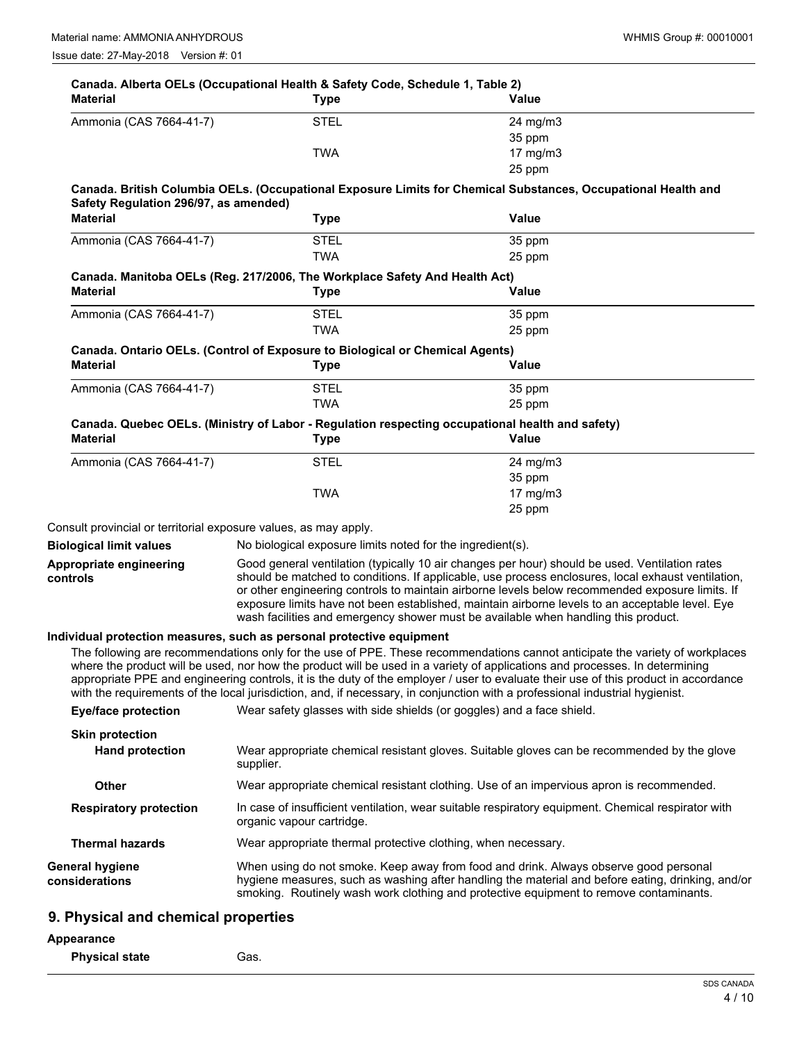| <b>Material</b>                          | Canada. Alberta OELs (Occupational Health & Safety Code, Schedule 1, Table 2)<br><b>Type</b>    | Value                                                                                                                                                                                                                                                               |
|------------------------------------------|-------------------------------------------------------------------------------------------------|---------------------------------------------------------------------------------------------------------------------------------------------------------------------------------------------------------------------------------------------------------------------|
| Ammonia (CAS 7664-41-7)                  | <b>STEL</b>                                                                                     | 24 mg/m3                                                                                                                                                                                                                                                            |
|                                          |                                                                                                 | 35 ppm                                                                                                                                                                                                                                                              |
|                                          | <b>TWA</b>                                                                                      | $17$ mg/m $3$                                                                                                                                                                                                                                                       |
|                                          |                                                                                                 | 25 ppm                                                                                                                                                                                                                                                              |
| Safety Regulation 296/97, as amended)    |                                                                                                 | Canada. British Columbia OELs. (Occupational Exposure Limits for Chemical Substances, Occupational Health and                                                                                                                                                       |
| <b>Material</b>                          | <b>Type</b>                                                                                     | Value                                                                                                                                                                                                                                                               |
| Ammonia (CAS 7664-41-7)                  | <b>STEL</b>                                                                                     | 35 ppm                                                                                                                                                                                                                                                              |
|                                          | <b>TWA</b>                                                                                      | 25 ppm                                                                                                                                                                                                                                                              |
|                                          | Canada. Manitoba OELs (Reg. 217/2006, The Workplace Safety And Health Act)                      |                                                                                                                                                                                                                                                                     |
| <b>Material</b>                          | <b>Type</b>                                                                                     | Value                                                                                                                                                                                                                                                               |
| Ammonia (CAS 7664-41-7)                  | <b>STEL</b>                                                                                     | 35 ppm                                                                                                                                                                                                                                                              |
|                                          | <b>TWA</b>                                                                                      | 25 ppm                                                                                                                                                                                                                                                              |
|                                          | Canada. Ontario OELs. (Control of Exposure to Biological or Chemical Agents)                    |                                                                                                                                                                                                                                                                     |
| <b>Material</b>                          | <b>Type</b>                                                                                     | Value                                                                                                                                                                                                                                                               |
| Ammonia (CAS 7664-41-7)                  | <b>STEL</b>                                                                                     | 35 ppm                                                                                                                                                                                                                                                              |
|                                          | <b>TWA</b>                                                                                      | 25 ppm                                                                                                                                                                                                                                                              |
|                                          | Canada. Quebec OELs. (Ministry of Labor - Regulation respecting occupational health and safety) |                                                                                                                                                                                                                                                                     |
| <b>Material</b>                          | <b>Type</b>                                                                                     | <b>Value</b>                                                                                                                                                                                                                                                        |
| Ammonia (CAS 7664-41-7)                  | <b>STEL</b>                                                                                     | 24 mg/m3                                                                                                                                                                                                                                                            |
|                                          |                                                                                                 | 35 ppm                                                                                                                                                                                                                                                              |
|                                          | <b>TWA</b>                                                                                      | $17$ mg/m $3$                                                                                                                                                                                                                                                       |
|                                          |                                                                                                 | 25 ppm                                                                                                                                                                                                                                                              |
|                                          | Consult provincial or territorial exposure values, as may apply.                                |                                                                                                                                                                                                                                                                     |
| <b>Biological limit values</b>           | No biological exposure limits noted for the ingredient(s).                                      |                                                                                                                                                                                                                                                                     |
| Appropriate engineering                  |                                                                                                 | Good general ventilation (typically 10 air changes per hour) should be used. Ventilation rates                                                                                                                                                                      |
| controls                                 |                                                                                                 | should be matched to conditions. If applicable, use process enclosures, local exhaust ventilation,<br>or other engineering controls to maintain airborne levels below recommended exposure limits. If                                                               |
|                                          |                                                                                                 | exposure limits have not been established, maintain airborne levels to an acceptable level. Eye                                                                                                                                                                     |
|                                          |                                                                                                 | wash facilities and emergency shower must be available when handling this product.                                                                                                                                                                                  |
|                                          | Individual protection measures, such as personal protective equipment                           |                                                                                                                                                                                                                                                                     |
|                                          |                                                                                                 | The following are recommendations only for the use of PPE. These recommendations cannot anticipate the variety of workplaces                                                                                                                                        |
|                                          |                                                                                                 | where the product will be used, nor how the product will be used in a variety of applications and processes. In determining                                                                                                                                         |
|                                          |                                                                                                 | appropriate PPE and engineering controls, it is the duty of the employer / user to evaluate their use of this product in accordance<br>with the requirements of the local jurisdiction, and, if necessary, in conjunction with a professional industrial hygienist. |
| <b>Eye/face protection</b>               | Wear safety glasses with side shields (or goggles) and a face shield.                           |                                                                                                                                                                                                                                                                     |
|                                          |                                                                                                 |                                                                                                                                                                                                                                                                     |
| <b>Skin protection</b>                   |                                                                                                 |                                                                                                                                                                                                                                                                     |
| <b>Hand protection</b>                   | supplier.                                                                                       | Wear appropriate chemical resistant gloves. Suitable gloves can be recommended by the glove                                                                                                                                                                         |
| Other                                    |                                                                                                 | Wear appropriate chemical resistant clothing. Use of an impervious apron is recommended.                                                                                                                                                                            |
| <b>Respiratory protection</b>            | organic vapour cartridge.                                                                       | In case of insufficient ventilation, wear suitable respiratory equipment. Chemical respirator with                                                                                                                                                                  |
| <b>Thermal hazards</b>                   | Wear appropriate thermal protective clothing, when necessary.                                   |                                                                                                                                                                                                                                                                     |
| <b>General hygiene</b><br>considerations |                                                                                                 | When using do not smoke. Keep away from food and drink. Always observe good personal<br>hygiene measures, such as washing after handling the material and before eating, drinking, and/or                                                                           |
|                                          |                                                                                                 | smoking. Routinely wash work clothing and protective equipment to remove contaminants.                                                                                                                                                                              |
| 9. Physical and chemical properties      |                                                                                                 |                                                                                                                                                                                                                                                                     |

# **Appearance**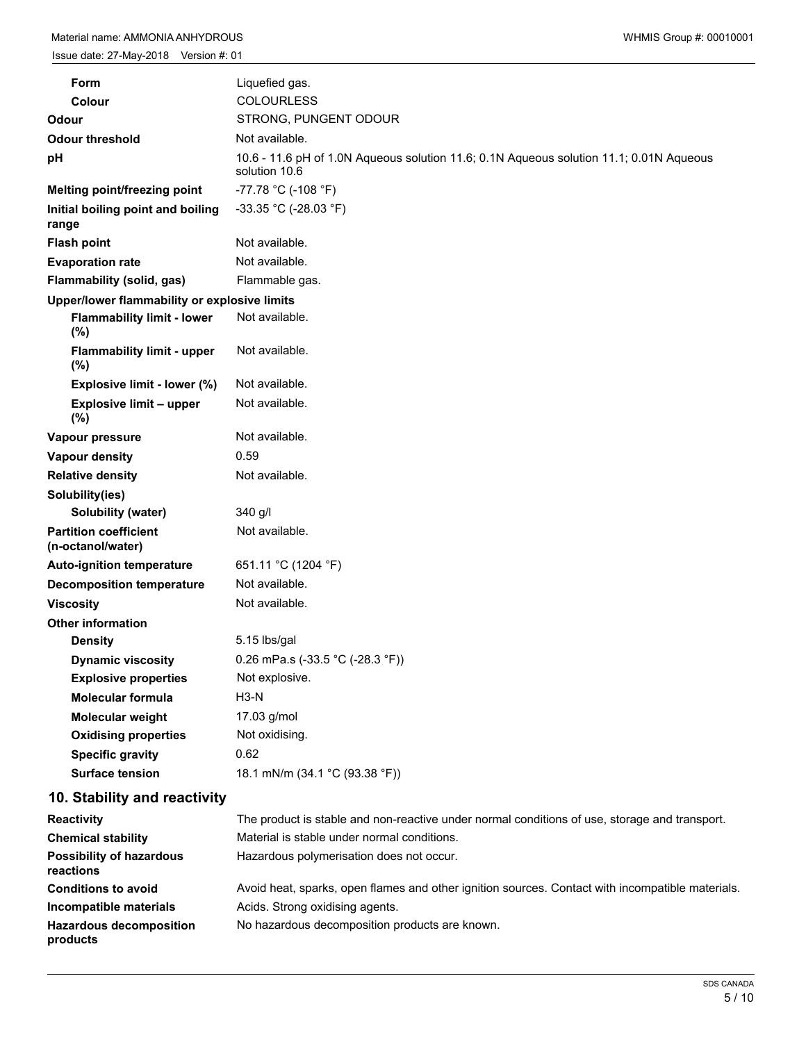| Form                                              | Liquefied gas.                                                                          |
|---------------------------------------------------|-----------------------------------------------------------------------------------------|
| Colour                                            | <b>COLOURLESS</b>                                                                       |
| Odour                                             | STRONG, PUNGENT ODOUR                                                                   |
| <b>Odour threshold</b>                            | Not available.                                                                          |
|                                                   | 10.6 - 11.6 pH of 1.0N Aqueous solution 11.6; 0.1N Aqueous solution 11.1; 0.01N Aqueous |
| рH                                                | solution 10.6                                                                           |
| Melting point/freezing point                      | -77.78 °C (-108 °F)                                                                     |
| Initial boiling point and boiling<br>range        | -33.35 °C (-28.03 °F)                                                                   |
| <b>Flash point</b>                                | Not available.                                                                          |
| <b>Evaporation rate</b>                           | Not available.                                                                          |
| Flammability (solid, gas)                         | Flammable gas.                                                                          |
| Upper/lower flammability or explosive limits      |                                                                                         |
| <b>Flammability limit - lower</b><br>$(\%)$       | Not available.                                                                          |
| <b>Flammability limit - upper</b><br>$(\%)$       | Not available.                                                                          |
| Explosive limit - lower (%)                       | Not available.                                                                          |
| Explosive limit - upper<br>$(\%)$                 | Not available.                                                                          |
| Vapour pressure                                   | Not available.                                                                          |
| Vapour density                                    | 0.59                                                                                    |
| <b>Relative density</b>                           | Not available.                                                                          |
| Solubility(ies)                                   |                                                                                         |
| Solubility (water)                                | 340 g/l                                                                                 |
| <b>Partition coefficient</b><br>(n-octanol/water) | Not available.                                                                          |
| <b>Auto-ignition temperature</b>                  | 651.11 °C (1204 °F)                                                                     |
| <b>Decomposition temperature</b>                  | Not available.                                                                          |
| <b>Viscosity</b>                                  | Not available.                                                                          |
| <b>Other information</b>                          |                                                                                         |
| <b>Density</b>                                    | 5.15 lbs/gal                                                                            |
| <b>Dynamic viscosity</b>                          | 0.26 mPa.s (-33.5 °C (-28.3 °F))                                                        |
| <b>Explosive properties</b>                       | Not explosive.                                                                          |
| <b>Molecular formula</b>                          | $H3-N$                                                                                  |
| Molecular weight                                  | 17.03 g/mol                                                                             |
| <b>Oxidising properties</b>                       | Not oxidising.                                                                          |
| <b>Specific gravity</b>                           | 0.62                                                                                    |
| <b>Surface tension</b>                            | 18.1 mN/m (34.1 °C (93.38 °F))                                                          |
| 10. Stability and reactivity                      |                                                                                         |

| <b>Reactivity</b>                            | The product is stable and non-reactive under normal conditions of use, storage and transport.    |
|----------------------------------------------|--------------------------------------------------------------------------------------------------|
| <b>Chemical stability</b>                    | Material is stable under normal conditions.                                                      |
| <b>Possibility of hazardous</b><br>reactions | Hazardous polymerisation does not occur.                                                         |
| <b>Conditions to avoid</b>                   | Avoid heat, sparks, open flames and other ignition sources. Contact with incompatible materials. |
| Incompatible materials                       | Acids. Strong oxidising agents.                                                                  |
| <b>Hazardous decomposition</b><br>products   | No hazardous decomposition products are known.                                                   |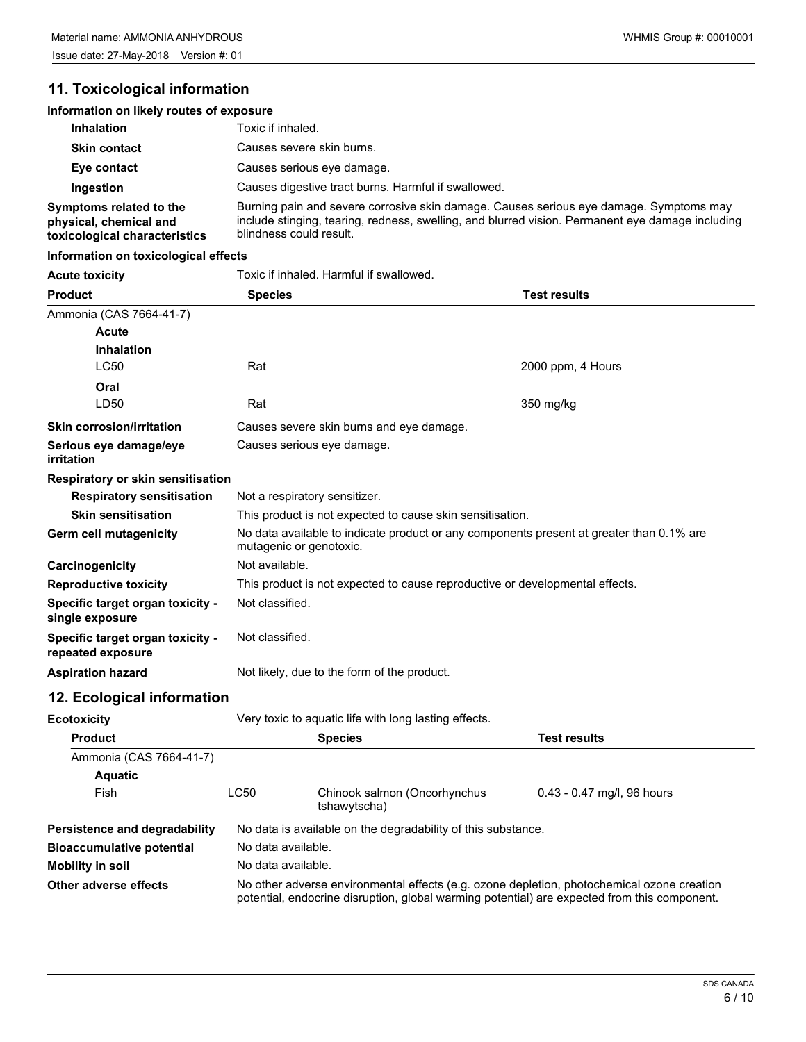# **11. Toxicological information**

# **Information on likely routes of exposure**

| <b>Inhalation</b>                                                                  | Toxic if inhaled.                                                                                                                                                                                                     |
|------------------------------------------------------------------------------------|-----------------------------------------------------------------------------------------------------------------------------------------------------------------------------------------------------------------------|
| <b>Skin contact</b>                                                                | Causes severe skin burns.                                                                                                                                                                                             |
| Eye contact                                                                        | Causes serious eye damage.                                                                                                                                                                                            |
| Ingestion                                                                          | Causes digestive tract burns. Harmful if swallowed.                                                                                                                                                                   |
| Symptoms related to the<br>physical, chemical and<br>toxicological characteristics | Burning pain and severe corrosive skin damage. Causes serious eye damage. Symptoms may<br>include stinging, tearing, redness, swelling, and blurred vision. Permanent eye damage including<br>blindness could result. |

#### **Information on toxicological effects**

Acute toxicity **Acute is a Toxic if inhaled. Harmful if swallowed.** 

| <b>Product</b>                                        | <b>Species</b>                                                                                                      | <b>Test results</b> |  |  |
|-------------------------------------------------------|---------------------------------------------------------------------------------------------------------------------|---------------------|--|--|
| Ammonia (CAS 7664-41-7)                               |                                                                                                                     |                     |  |  |
| <b>Acute</b>                                          |                                                                                                                     |                     |  |  |
| <b>Inhalation</b>                                     |                                                                                                                     |                     |  |  |
| <b>LC50</b>                                           | Rat                                                                                                                 | 2000 ppm, 4 Hours   |  |  |
| Oral                                                  |                                                                                                                     |                     |  |  |
| LD <sub>50</sub>                                      | Rat                                                                                                                 | 350 mg/kg           |  |  |
| <b>Skin corrosion/irritation</b>                      | Causes severe skin burns and eye damage.                                                                            |                     |  |  |
| Serious eye damage/eye<br>irritation                  | Causes serious eye damage.                                                                                          |                     |  |  |
| Respiratory or skin sensitisation                     |                                                                                                                     |                     |  |  |
| <b>Respiratory sensitisation</b>                      | Not a respiratory sensitizer.                                                                                       |                     |  |  |
| <b>Skin sensitisation</b>                             | This product is not expected to cause skin sensitisation.                                                           |                     |  |  |
| Germ cell mutagenicity                                | No data available to indicate product or any components present at greater than 0.1% are<br>mutagenic or genotoxic. |                     |  |  |
| Carcinogenicity                                       | Not available.                                                                                                      |                     |  |  |
| <b>Reproductive toxicity</b>                          | This product is not expected to cause reproductive or developmental effects.                                        |                     |  |  |
| Specific target organ toxicity -<br>single exposure   | Not classified.                                                                                                     |                     |  |  |
| Specific target organ toxicity -<br>repeated exposure | Not classified.                                                                                                     |                     |  |  |
| <b>Aspiration hazard</b>                              | Not likely, due to the form of the product.                                                                         |                     |  |  |
| 12. Ecological information                            |                                                                                                                     |                     |  |  |
| <b>Ecotoxicity</b>                                    | Very toxic to aquatic life with long lasting effects.                                                               |                     |  |  |

| ---------                        |                    |                                                                                                                                                                                            |                              |
|----------------------------------|--------------------|--------------------------------------------------------------------------------------------------------------------------------------------------------------------------------------------|------------------------------|
| <b>Product</b>                   |                    | <b>Species</b>                                                                                                                                                                             | <b>Test results</b>          |
| Ammonia (CAS 7664-41-7)          |                    |                                                                                                                                                                                            |                              |
| <b>Aquatic</b>                   |                    |                                                                                                                                                                                            |                              |
| Fish                             | LC50               | Chinook salmon (Oncorhynchus<br>tshawytscha)                                                                                                                                               | $0.43 - 0.47$ mg/l, 96 hours |
| Persistence and degradability    |                    | No data is available on the degradability of this substance.                                                                                                                               |                              |
| <b>Bioaccumulative potential</b> | No data available. |                                                                                                                                                                                            |                              |
| Mobility in soil                 | No data available. |                                                                                                                                                                                            |                              |
| Other adverse effects            |                    | No other adverse environmental effects (e.g. ozone depletion, photochemical ozone creation<br>potential, endocrine disruption, global warming potential) are expected from this component. |                              |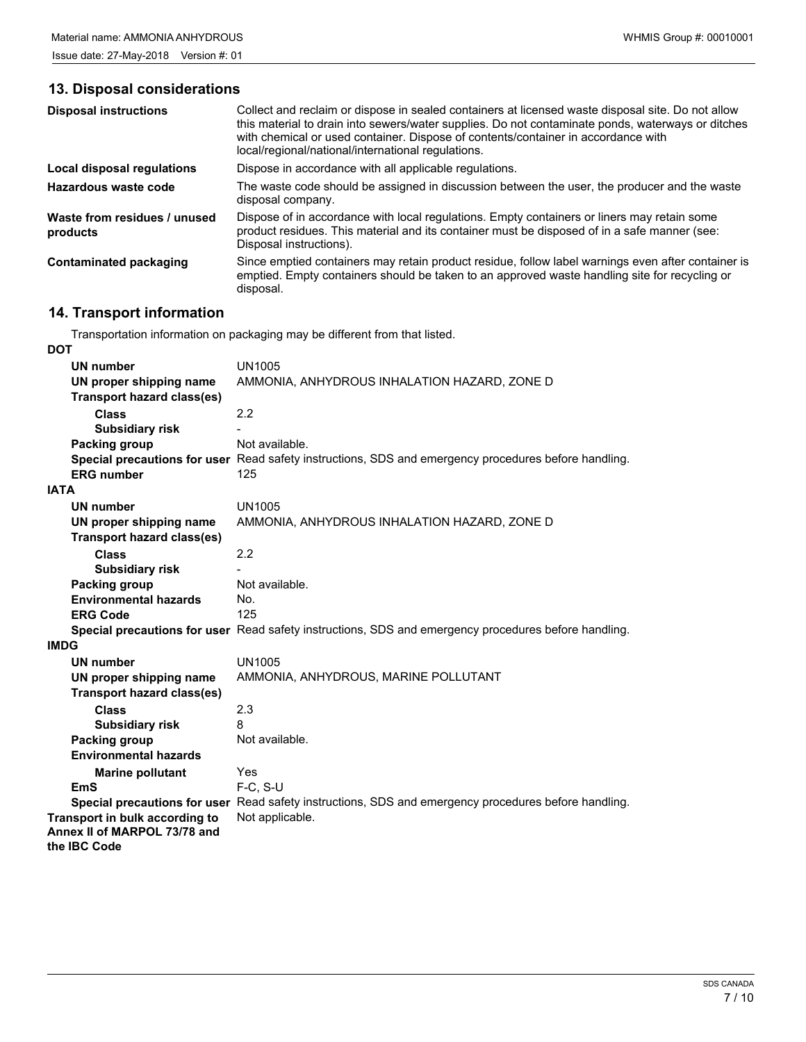# **13. Disposal considerations**

| <b>Disposal instructions</b>             | Collect and reclaim or dispose in sealed containers at licensed waste disposal site. Do not allow<br>this material to drain into sewers/water supplies. Do not contaminate ponds, waterways or ditches<br>with chemical or used container. Dispose of contents/container in accordance with<br>local/regional/national/international regulations. |
|------------------------------------------|---------------------------------------------------------------------------------------------------------------------------------------------------------------------------------------------------------------------------------------------------------------------------------------------------------------------------------------------------|
| Local disposal regulations               | Dispose in accordance with all applicable regulations.                                                                                                                                                                                                                                                                                            |
| Hazardous waste code                     | The waste code should be assigned in discussion between the user, the producer and the waste<br>disposal company.                                                                                                                                                                                                                                 |
| Waste from residues / unused<br>products | Dispose of in accordance with local regulations. Empty containers or liners may retain some<br>product residues. This material and its container must be disposed of in a safe manner (see:<br>Disposal instructions).                                                                                                                            |
| Contaminated packaging                   | Since emptied containers may retain product residue, follow label warnings even after container is<br>emptied. Empty containers should be taken to an approved waste handling site for recycling or<br>disposal.                                                                                                                                  |

# **14. Transport information**

Transportation information on packaging may be different from that listed.

| <b>DOT</b>                        |                                                                                                      |
|-----------------------------------|------------------------------------------------------------------------------------------------------|
| UN number                         | <b>UN1005</b>                                                                                        |
| UN proper shipping name           | AMMONIA, ANHYDROUS INHALATION HAZARD, ZONE D                                                         |
| <b>Transport hazard class(es)</b> |                                                                                                      |
| <b>Class</b>                      | 2.2                                                                                                  |
| <b>Subsidiary risk</b>            |                                                                                                      |
| Packing group                     | Not available.                                                                                       |
|                                   | Special precautions for user Read safety instructions, SDS and emergency procedures before handling. |
| <b>ERG</b> number                 | 125                                                                                                  |
| <b>IATA</b>                       |                                                                                                      |
| <b>UN number</b>                  | <b>UN1005</b>                                                                                        |
| UN proper shipping name           | AMMONIA, ANHYDROUS INHALATION HAZARD, ZONE D                                                         |
| <b>Transport hazard class(es)</b> |                                                                                                      |
| <b>Class</b>                      | 2.2                                                                                                  |
| <b>Subsidiary risk</b>            |                                                                                                      |
| Packing group                     | Not available.                                                                                       |
| <b>Environmental hazards</b>      | No.                                                                                                  |
| <b>ERG Code</b>                   | 125                                                                                                  |
|                                   | Special precautions for user Read safety instructions, SDS and emergency procedures before handling. |
| <b>IMDG</b>                       |                                                                                                      |
| <b>UN number</b>                  | <b>UN1005</b>                                                                                        |
| UN proper shipping name           | AMMONIA, ANHYDROUS, MARINE POLLUTANT                                                                 |
| <b>Transport hazard class(es)</b> |                                                                                                      |
| <b>Class</b>                      | 2.3                                                                                                  |
| <b>Subsidiary risk</b>            | 8                                                                                                    |
| Packing group                     | Not available.                                                                                       |
| <b>Environmental hazards</b>      |                                                                                                      |
| <b>Marine pollutant</b>           | Yes                                                                                                  |
| EmS                               | F-C, S-U                                                                                             |
|                                   | Special precautions for user Read safety instructions, SDS and emergency procedures before handling. |
| Transport in bulk according to    | Not applicable.                                                                                      |
| Annex II of MARPOL 73/78 and      |                                                                                                      |
| the IBC Code                      |                                                                                                      |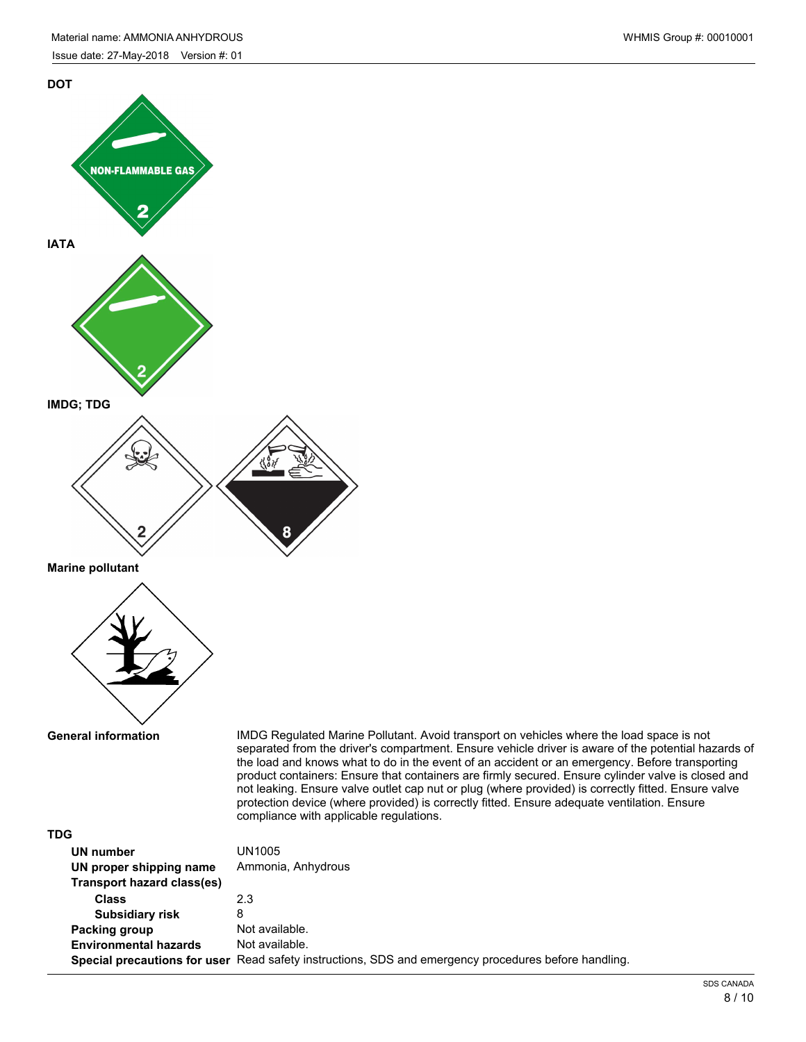

**Marine pollutant**



**General information**

IMDG Regulated Marine Pollutant. Avoid transport on vehicles where the load space is not separated from the driver's compartment. Ensure vehicle driver is aware of the potential hazards of the load and knows what to do in the event of an accident or an emergency. Before transporting product containers: Ensure that containers are firmly secured. Ensure cylinder valve is closed and not leaking. Ensure valve outlet cap nut or plug (where provided) is correctly fitted. Ensure valve protection device (where provided) is correctly fitted. Ensure adequate ventilation. Ensure compliance with applicable regulations.

| <b>TDG</b>                   |                                                                                                      |
|------------------------------|------------------------------------------------------------------------------------------------------|
| UN number                    | UN1005                                                                                               |
| UN proper shipping name      | Ammonia, Anhydrous                                                                                   |
| Transport hazard class(es)   |                                                                                                      |
| <b>Class</b>                 | 2.3                                                                                                  |
| <b>Subsidiary risk</b>       | 8                                                                                                    |
| Packing group                | Not available.                                                                                       |
| <b>Environmental hazards</b> | Not available.                                                                                       |
|                              | Special precautions for user Read safety instructions, SDS and emergency procedures before handling. |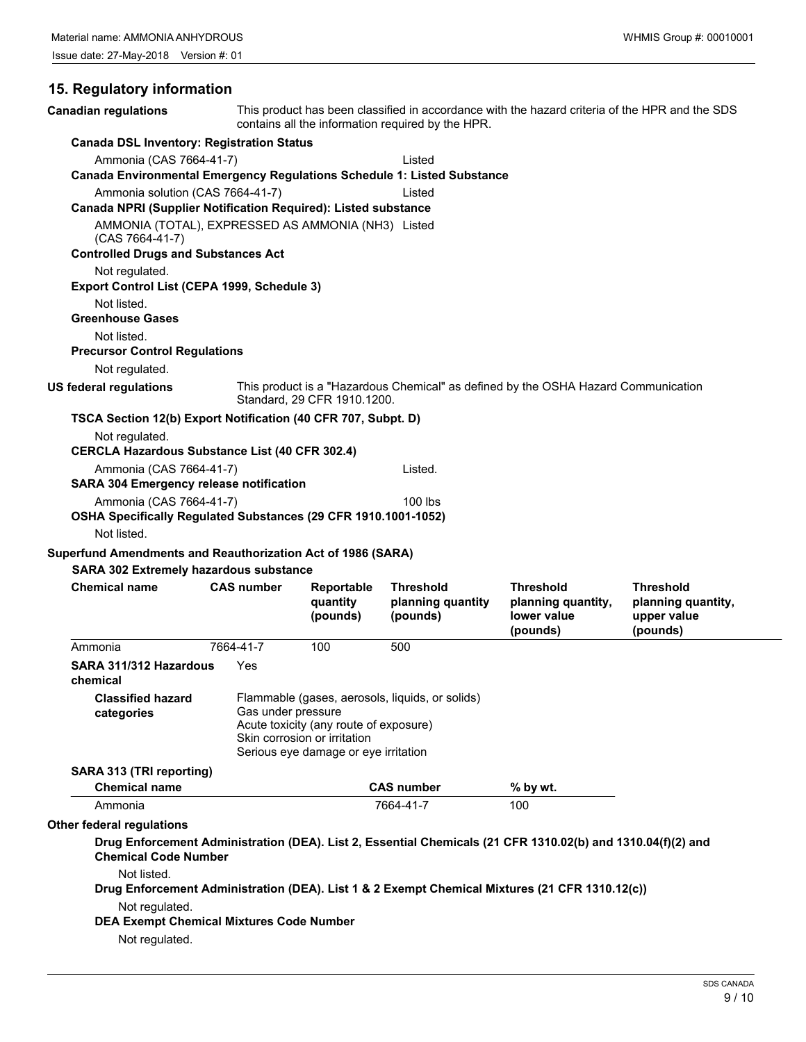# **15. Regulatory information**

| <b>Canadian regulations</b>                                                                        |                    | This product has been classified in accordance with the hazard criteria of the HPR and the SDS<br>contains all the information required by the HPR. |                                                   |                                                                                                             |                                                                   |  |
|----------------------------------------------------------------------------------------------------|--------------------|-----------------------------------------------------------------------------------------------------------------------------------------------------|---------------------------------------------------|-------------------------------------------------------------------------------------------------------------|-------------------------------------------------------------------|--|
| <b>Canada DSL Inventory: Registration Status</b>                                                   |                    |                                                                                                                                                     |                                                   |                                                                                                             |                                                                   |  |
| Ammonia (CAS 7664-41-7)<br>Canada Environmental Emergency Regulations Schedule 1: Listed Substance |                    |                                                                                                                                                     | Listed                                            |                                                                                                             |                                                                   |  |
| Ammonia solution (CAS 7664-41-7)                                                                   |                    |                                                                                                                                                     | Listed                                            |                                                                                                             |                                                                   |  |
| Canada NPRI (Supplier Notification Required): Listed substance                                     |                    |                                                                                                                                                     |                                                   |                                                                                                             |                                                                   |  |
| AMMONIA (TOTAL), EXPRESSED AS AMMONIA (NH3) Listed<br>(CAS 7664-41-7)                              |                    |                                                                                                                                                     |                                                   |                                                                                                             |                                                                   |  |
| <b>Controlled Drugs and Substances Act</b>                                                         |                    |                                                                                                                                                     |                                                   |                                                                                                             |                                                                   |  |
| Not regulated.<br>Export Control List (CEPA 1999, Schedule 3)                                      |                    |                                                                                                                                                     |                                                   |                                                                                                             |                                                                   |  |
| Not listed.                                                                                        |                    |                                                                                                                                                     |                                                   |                                                                                                             |                                                                   |  |
| <b>Greenhouse Gases</b>                                                                            |                    |                                                                                                                                                     |                                                   |                                                                                                             |                                                                   |  |
| Not listed.<br><b>Precursor Control Regulations</b>                                                |                    |                                                                                                                                                     |                                                   |                                                                                                             |                                                                   |  |
| Not regulated.                                                                                     |                    |                                                                                                                                                     |                                                   |                                                                                                             |                                                                   |  |
| <b>US federal regulations</b>                                                                      |                    | Standard, 29 CFR 1910.1200.                                                                                                                         |                                                   | This product is a "Hazardous Chemical" as defined by the OSHA Hazard Communication                          |                                                                   |  |
| TSCA Section 12(b) Export Notification (40 CFR 707, Subpt. D)                                      |                    |                                                                                                                                                     |                                                   |                                                                                                             |                                                                   |  |
| Not regulated.<br><b>CERCLA Hazardous Substance List (40 CFR 302.4)</b>                            |                    |                                                                                                                                                     |                                                   |                                                                                                             |                                                                   |  |
| Ammonia (CAS 7664-41-7)<br><b>SARA 304 Emergency release notification</b>                          |                    |                                                                                                                                                     | Listed.                                           |                                                                                                             |                                                                   |  |
| Ammonia (CAS 7664-41-7)                                                                            |                    |                                                                                                                                                     | $100$ lbs                                         |                                                                                                             |                                                                   |  |
| OSHA Specifically Regulated Substances (29 CFR 1910.1001-1052)<br>Not listed.                      |                    |                                                                                                                                                     |                                                   |                                                                                                             |                                                                   |  |
|                                                                                                    |                    |                                                                                                                                                     |                                                   |                                                                                                             |                                                                   |  |
| Superfund Amendments and Reauthorization Act of 1986 (SARA)                                        |                    |                                                                                                                                                     |                                                   |                                                                                                             |                                                                   |  |
| <b>SARA 302 Extremely hazardous substance</b>                                                      |                    |                                                                                                                                                     |                                                   |                                                                                                             |                                                                   |  |
| <b>Chemical name</b>                                                                               | <b>CAS number</b>  | Reportable<br>quantity<br>(pounds)                                                                                                                  | <b>Threshold</b><br>planning quantity<br>(pounds) | <b>Threshold</b><br>planning quantity,<br>lower value<br>(pounds)                                           | <b>Threshold</b><br>planning quantity,<br>upper value<br>(pounds) |  |
| Ammonia                                                                                            | 7664-41-7          | 100                                                                                                                                                 | 500                                               |                                                                                                             |                                                                   |  |
| SARA 311/312 Hazardous<br>chemical                                                                 | Yes                |                                                                                                                                                     |                                                   |                                                                                                             |                                                                   |  |
| <b>Classified hazard</b><br>categories                                                             | Gas under pressure |                                                                                                                                                     | Flammable (gases, aerosols, liquids, or solids)   |                                                                                                             |                                                                   |  |
|                                                                                                    |                    | Acute toxicity (any route of exposure)<br>Skin corrosion or irritation                                                                              |                                                   |                                                                                                             |                                                                   |  |
|                                                                                                    |                    | Serious eye damage or eye irritation                                                                                                                |                                                   |                                                                                                             |                                                                   |  |
| SARA 313 (TRI reporting)                                                                           |                    |                                                                                                                                                     |                                                   |                                                                                                             |                                                                   |  |
| <b>Chemical name</b>                                                                               |                    |                                                                                                                                                     | <b>CAS number</b>                                 | % by wt.                                                                                                    |                                                                   |  |
| Ammonia                                                                                            |                    |                                                                                                                                                     | 7664-41-7                                         | 100                                                                                                         |                                                                   |  |
| <b>Other federal regulations</b><br><b>Chemical Code Number</b>                                    |                    |                                                                                                                                                     |                                                   | Drug Enforcement Administration (DEA). List 2, Essential Chemicals (21 CFR 1310.02(b) and 1310.04(f)(2) and |                                                                   |  |
| Not listed.                                                                                        |                    |                                                                                                                                                     |                                                   |                                                                                                             |                                                                   |  |
|                                                                                                    |                    |                                                                                                                                                     |                                                   | Drug Enforcement Administration (DEA). List 1 & 2 Exempt Chemical Mixtures (21 CFR 1310.12(c))              |                                                                   |  |
| Not regulated.                                                                                     |                    |                                                                                                                                                     |                                                   |                                                                                                             |                                                                   |  |
| <b>DEA Exempt Chemical Mixtures Code Number</b><br>Not regulated.                                  |                    |                                                                                                                                                     |                                                   |                                                                                                             |                                                                   |  |